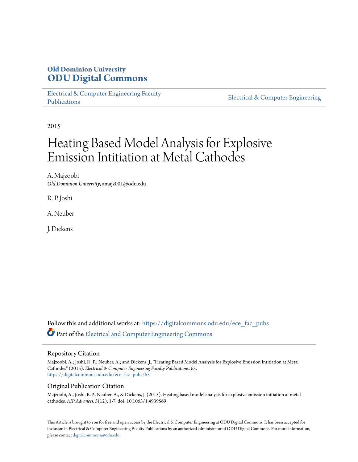# **Old Dominion University [ODU Digital Commons](https://digitalcommons.odu.edu?utm_source=digitalcommons.odu.edu%2Fece_fac_pubs%2F65&utm_medium=PDF&utm_campaign=PDFCoverPages)**

[Electrical & Computer Engineering Faculty](https://digitalcommons.odu.edu/ece_fac_pubs?utm_source=digitalcommons.odu.edu%2Fece_fac_pubs%2F65&utm_medium=PDF&utm_campaign=PDFCoverPages) [Publications](https://digitalcommons.odu.edu/ece_fac_pubs?utm_source=digitalcommons.odu.edu%2Fece_fac_pubs%2F65&utm_medium=PDF&utm_campaign=PDFCoverPages)

[Electrical & Computer Engineering](https://digitalcommons.odu.edu/ece?utm_source=digitalcommons.odu.edu%2Fece_fac_pubs%2F65&utm_medium=PDF&utm_campaign=PDFCoverPages)

2015

# Heating Based Model Analysis for Explosive Emission Intitiation at Metal Cathodes

A. Majzoobi *Old Dominion University*, amajz001@odu.edu

R. P. Joshi

A. Neuber

J. Dickens

Follow this and additional works at: [https://digitalcommons.odu.edu/ece\\_fac\\_pubs](https://digitalcommons.odu.edu/ece_fac_pubs?utm_source=digitalcommons.odu.edu%2Fece_fac_pubs%2F65&utm_medium=PDF&utm_campaign=PDFCoverPages) Part of the [Electrical and Computer Engineering Commons](http://network.bepress.com/hgg/discipline/266?utm_source=digitalcommons.odu.edu%2Fece_fac_pubs%2F65&utm_medium=PDF&utm_campaign=PDFCoverPages)

### Repository Citation

Majzoobi, A.; Joshi, R. P.; Neuber, A.; and Dickens, J., "Heating Based Model Analysis for Explosive Emission Intitiation at Metal Cathodes" (2015). *Electrical & Computer Engineering Faculty Publications*. 65. [https://digitalcommons.odu.edu/ece\\_fac\\_pubs/65](https://digitalcommons.odu.edu/ece_fac_pubs/65?utm_source=digitalcommons.odu.edu%2Fece_fac_pubs%2F65&utm_medium=PDF&utm_campaign=PDFCoverPages)

### Original Publication Citation

Majzoobi, A., Joshi, R.P., Neuber, A., & Dickens, J. (2015). Heating based model analysis for explosive emission initiation at metal cathodes. *AIP Advances, 5*(12), 1-7. doi: 10.1063/1.4939569

This Article is brought to you for free and open access by the Electrical & Computer Engineering at ODU Digital Commons. It has been accepted for inclusion in Electrical & Computer Engineering Faculty Publications by an authorized administrator of ODU Digital Commons. For more information, please contact [digitalcommons@odu.edu](mailto:digitalcommons@odu.edu).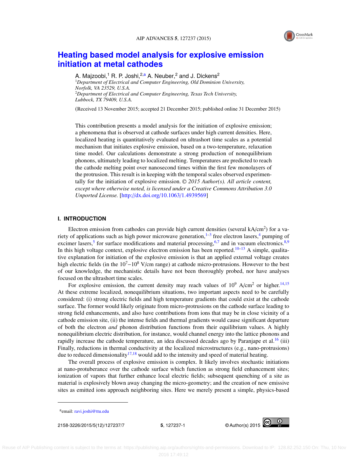

## **[Heating based model analysis for explosive emission](http://dx.doi.org/10.1063/1.4939569) [initiation at metal cathodes](http://dx.doi.org/10.1063/1.4939569)**

A. Majzoobi,<sup>1</sup> R. P. Joshi,<sup>2[,a](#page-1-0)</sup> A. Neuber,<sup>2</sup> and J. Dickens<sup>2</sup> <sup>1</sup>*Department of Electrical and Computer Engineering, Old Dominion University, Norfolk, VA 23529, U.S.A.* <sup>2</sup>*Department of Electrical and Computer Engineering, Texas Tech University, Lubbock, TX 79409, U.S.A.*

(Received 13 November 2015; accepted 21 December 2015; published online 31 December 2015)

This contribution presents a model analysis for the initiation of explosive emission; a phenomena that is observed at cathode surfaces under high current densities. Here, localized heating is quantitatively evaluated on ultrashort time scales as a potential mechanism that initiates explosive emission, based on a two-temperature, relaxation time model. Our calculations demonstrate a strong production of nonequilibrium phonons, ultimately leading to localized melting. Temperatures are predicted to reach the cathode melting point over nanosecond times within the first few monolayers of the protrusion. This result is in keeping with the temporal scales observed experimentally for the initiation of explosive emission. <sup>C</sup> *2015 Author(s). All article content, except where otherwise noted, is licensed under a Creative Commons Attribution 3.0 Unported License.* [\[http:](http://dx.doi.org/10.1063/1.4939569)//[dx.doi.org](http://dx.doi.org/10.1063/1.4939569)/[10.1063](http://dx.doi.org/10.1063/1.4939569)/[1.4939569\]](http://dx.doi.org/10.1063/1.4939569)

### **I. INTRODUCTION**

Electron emission from cathodes can provide high current densities (several  $kA/cm<sup>2</sup>$ ) for a va-riety of applications such as high power microwave generation,<sup>[1–](#page-6-0)[3](#page-6-1)</sup> free electron lasers,<sup>[4](#page-6-2)</sup> pumping of excimer lasers,<sup>[5](#page-6-3)</sup> for surface modifications and material processing,  $6,7$  $6,7$  and in vacuum electronics.  $8,9$  $8,9$ In this high voltage context, explosive electron emission has been reported.<sup>[10–](#page-6-8)[13](#page-6-9)</sup> A simple, qualitative explanation for initiation of the explosive emission is that an applied external voltage creates high electric fields (in the 10<sup>7</sup>−10<sup>8</sup> V/cm range) at cathode micro-protrusions. However to the best of our knowledge, the mechanistic details have not been thoroughly probed, nor have analyses focused on the ultrashort time scales.

For explosive emission, the current density may reach values of  $10^9$  A/cm<sup>2</sup> or higher.<sup>[14](#page-6-10)[,15](#page-6-11)</sup> At these extreme localized, nonequilibrium situations, two important aspects need to be carefully considered: (i) strong electric fields and high temperature gradients that could exist at the cathode surface. The former would likely originate from micro-protrusions on the cathode surface leading to strong field enhancements, and also have contributions from ions that may be in close vicinity of a cathode emission site, (ii) the intense fields and thermal gradients would cause significant departure of both the electron *and* phonon distribution functions from their equilibrium values. A highly nonequilibrium electric distribution, for instance, would channel energy into the lattice phonons and rapidly increase the cathode temperature, an idea discussed decades ago by Paranjape et al.<sup>[16](#page-6-12)</sup> (iii) Finally, reductions in thermal conductivity at the localized microstructures (e.g., nano-protrusions) due to reduced dimensionality<sup>[17](#page-6-13)[,18](#page-7-0)</sup> would add to the intensity and speed of material heating.

The overall process of explosive emission is complex. It likely involves stochastic initiations at nano-protuberance over the cathode surface which function as strong field enhancement sites; ionization of vapors that further enhance local electric fields; subsequent quenching of a site as material is explosively blown away changing the micro-geometry; and the creation of new emissive sites as emitted ions approach neighboring sites. Here we merely present a simple, physics-based

2158-3226/2015/5(12)/127237/7 **5**, 127237-1 © Author(s) 2015



<span id="page-1-0"></span><sup>&</sup>lt;sup>a</sup>email: [ravi.joshi@ttu.edu](mailto:ravi.joshi@ttu.edu)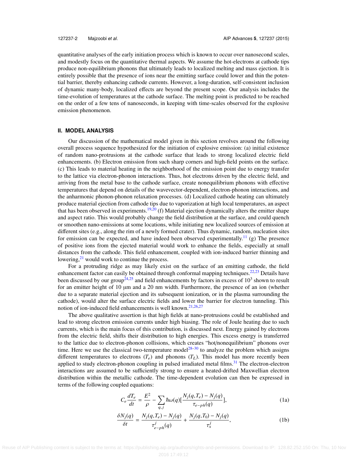quantitative analyses of the early initiation process which is known to occur over nanosecond scales, and modestly focus on the quantitative thermal aspects. We assume the hot-electrons at cathode tips produce non-equilibrium phonons that ultimately leads to localized melting and mass ejection. It is entirely possible that the presence of ions near the emitting surface could lower and thin the potential barrier, thereby enhancing cathode currents. However, a long-duration, self-consistent inclusion of dynamic many-body, localized effects are beyond the present scope. Our analysis includes the time-evolution of temperatures at the cathode surface. The melting point is predicted to be reached on the order of a few tens of nanoseconds, in keeping with time-scales observed for the explosive emission phenomenon.

### **II. MODEL ANALYSIS**

Our discussion of the mathematical model given in this section revolves around the following overall process sequence hypothesized for the initiation of explosive emission: (a) initial existence of random nano-protrusions at the cathode surface that leads to strong localized electric field enhancements. (b) Electron emission from such sharp corners and high-field points on the surface. (c) This leads to material heating in the neighborhood of the emission point due to energy transfer to the lattice via electron-phonon interactions. Thus, hot electrons driven by the electric field, and arriving from the metal base to the cathode surface, create nonequilibrium phonons with effective temperatures that depend on details of the wavevector-dependent, electron-phonon interactions, and the anharmonic phonon-phonon relaxation processes. (d) Localized cathode heating can ultimately produce material ejection from cathode tips due to vaporization at high local temperatures, an aspect that has been observed in experiments.<sup>[19,](#page-7-1)[20](#page-7-2)</sup> (f) Material ejection dynamically alters the emitter shape and aspect ratio. This would probably change the field distribution at the surface, and could quench or smoothen nano-emissions at some locations, while initiating new localized sources of emission at different sites (e.g., along the rim of a newly formed crater). Thus dynamic, random, nucleation sites for emission can be expected, and have indeed been observed experimentally.<sup>[11](#page-6-14)</sup> (g) The presence of positive ions from the ejected material would work to enhance the fields, especially at small distances from the cathode. This field enhancement, coupled with ion-induced barrier thinning and lowering, $^{21}$  $^{21}$  $^{21}$  would work to continue the process.

For a protruding ridge as may likely exist on the surface of an emitting cathode, the field enhancement factor can easily be obtained through conformal mapping techniques.<sup>[22,](#page-7-4)[23](#page-7-5)</sup> Details have been discussed by our group<sup>[24,](#page-7-6)[25](#page-7-7)</sup> and field enhancements by factors in excess of  $10^3$  shown to result for an emitter height of 10 µm and a 20 nm width. Furthermore, the presence of an ion (whether due to a separate material ejection and its subsequent ionization, or in the plasma surrounding the cathode), would alter the surface electric fields and lower the barrier for electron tunneling. This notion of ion-induced field enhancements is well known.<sup>[21,](#page-7-3)[26](#page-7-8)[,27](#page-7-9)</sup>

The above qualitative assertion is that high fields at nano-protrusions could be established and lead to strong electron emission currents under high biasing. The role of Joule heating due to such currents, which is the main focus of this contribution, is discussed next. Energy gained by electrons from the electric field, shifts their distribution to high energies. This excess energy is transferred to the lattice due to electron-phonon collisions, which creates "hot/nonequilibrium" phonons over time. Here we use the classical two-temperature model<sup>[28–](#page-7-10)[30](#page-7-11)</sup> to analyze the problem which assigns different temperatures to electrons  $(T_e)$  and phonons  $(T_L)$ . This model has more recently been applied to study electron-phonon coupling in pulsed irradiated metal films.<sup>[31](#page-7-12)</sup> The electron-electron interactions are assumed to be sufficiently strong to ensure a heated-drifted Maxwellian electron distribution within the metallic cathode. The time-dependent evolution can then be expressed in terms of the following coupled equations:

<span id="page-2-1"></span><span id="page-2-0"></span>
$$
C_e \frac{dT_e}{dt} = \frac{E^2}{\rho} - \sum_{q,j} \hbar \omega(q) \left[ \frac{N_j(q, T_e) - N_j(q)}{\tau_{e-ph}(q)} \right],\tag{1a}
$$

$$
\frac{\delta N_j(q)}{\delta t} = \frac{N_j(q, T_e) - N_j(q)}{\tau_{e-ph}^j(q)} + \frac{N_j(q, T_0) - N_j(q)}{\tau_x^j},\tag{1b}
$$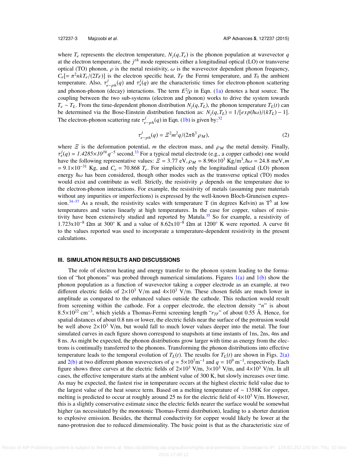where  $T_e$  represents the electron temperature,  $N_i(q, T_e)$  is the phonon population at wavevector *q* at the electron temperature, the  $j<sup>th</sup>$  mode represents either a longitudinal optical (LO) or transverse optical (TO) phonon,  $\rho$  is the metal resistivity,  $\omega$  is the wavevector dependent phonon frequency,  $\overline{C_e}$ [=  $\pi^2 n kT_e/(2T_F)$ ] is the electron specific heat,  $T_F$  the Fermi temperature, and  $T_0$  the ambient temperature. Also,  $\tau_{e-ph}^{j}(q)$  and  $\tau_{x}^{j}(q)$  are the characteristic times for electron-phonon scattering and phonon-phonon (decay) interactions. The term  $E^2/\rho$  in Eqn. [\(1a\)](#page-2-0) denotes a heat source. The coupling between the two sub-systems (electron and phonon) works to drive the system towards coupling between the two sub-systems (electron and phonon) works to drive the system towards *T*<sub>e</sub> ∼ *T*<sub>L</sub>. From the time-dependent phonon distribution  $N_j(q, T_L)$ , the phonon temperature *T*<sub>L</sub>(*t*) can be determined via the Bose-Einstein distribution function as:  $N_j(q, T_L) = 1/[exp(\hbar \omega)/(kT_L) - 1]$ . The electron-phonon scattering rate  $\tau_{e-ph}^{j}(q)$  in Eqn. [\(1b\)](#page-2-1) is given by:<sup>[32](#page-7-13)</sup>

$$
\tau_{e-ph}^{j}(q) = \Xi^{2} m^{2} q / (2\pi \hbar^{3} \rho_{M}),
$$
\n(2)

where  $\mathcal E$  is the deformation potential, *m* the electron mass, and  $\rho_M$  the metal density. Finally, have the following representative values:  $\mathcal{E} = 3.77 \text{ eV}, \rho_M = 8.96 \times 10^3 \text{ kg/m}^3, \hbar \omega = 24.8 \text{ meV}, m$ <br> $\sigma = 9.1 \times 10^{-31} \text{ Kg}$  and  $C = 70.868 \text{ T}$ . For simplicity only the longitudinal optical (LO) phonon  $x_{\rm x}^{j}(q) = 1.4285 \times 10^{39} q^{-5}$  second.<sup>[33](#page-7-14)</sup> For a typical metal electrode (e.g., a copper cathode) one would  $= 9.1 \times 10^{-31}$  Kg, and  $C_e = 70.868$   $T_e$ . For simplicity only the longitudinal optical (LO) phonon energy  $\hbar \omega$  has been considered, though other modes such as the transverse optical (TO) modes would exist and contribute as well. Strictly, the resistivity  $\rho$  depends on the temperature due to the electron-phonon interactions. For example, the resistivity of metals (assuming pure materials without any impurities or imperfections) is expressed by the well-known Bloch-Gruneisen expres-sion.<sup>[34–](#page-7-15)[37](#page-7-16)</sup> As a result, the resistivity scales with temperature T (in degrees Kelvin) as  $T^5$  at low temperatures and varies linearly at high temperatures. In the case for copper, values of resis-tivity have been extensively studied and reported by Matula.<sup>[35](#page-7-17)</sup> So for example, a resistivity of 1.723x10<sup>−</sup><sup>8</sup> Ωm at 300◦ K and a value of 8.62x10<sup>−</sup><sup>8</sup> Ωm at 1200◦ K were reported. A curve fit to the values reported was used to incorporate a temperature-dependent resistivity in the present calculations.

### **III. SIMULATION RESULTS AND DISCUSSIONS**

The role of electron heating and energy transfer to the phonon system leading to the formation of "hot phonons" was probed through numerical simulations. Figures  $1(a)$  and  $1(b)$  show the phonon population as a function of wavevector taking a copper electrode as an example, at two different electric fields of  $2\times10^3$  V/m and  $4\times10^3$  V/m. These chosen fields are much lower in amplitude as compared to the enhanced values outside the cathode. This reduction would result from screening within the cathode. For a copper electrode, the electron density "*n*" is about 8.5×10<sup>22</sup> cm<sup>-3</sup>, which yields a Thomas-Fermi screening length "*r*<sub>*TF*</sub>" of about 0.55 Å. Hence, for spatial distances of about 0.8 nm or lower, the electric fields near the surface of the protrusion would spatial distances of about 0.8 nm or lower, the electric fields near the surface of the protrusion would be well above  $2\times10^3$  V/m, but would fall to much lower values deeper into the metal. The four simulated curves in each figure shown correspond to snapshots at time instants of 1ns, 2ns, 4ns and 8 ns. As might be expected, the phonon distributions grow larger with time as energy from the electrons is continually transferred to the phonons. Transforming the phonon distributions into effective temperature leads to the temporal evolution of  $T_L(t)$ . The results for  $T_L(t)$  are shown in Figs. [2\(a\)](#page-5-0) and [2\(b\)](#page-5-0) at two different phonon wavevectors of  $q = 5 \times 10^7 \text{m}^{-1}$  and  $q = 10^9 \text{m}^{-1}$ , respectively. Each figure shows three curves at the electric fields of  $2\times10^3$  V/m,  $3\times10^3$  V/m, and  $4\times10^3$  V/m. In all cases, the effective temperature starts at the ambient value of 300 K, but slowly increases over time. As may be expected, the fastest rise in temperature occurs at the highest electric field value due to the largest value of the heat source term. Based on a melting temperature of ∼ 1358K for copper, melting is predicted to occur at roughly around 25 ns for the electric field of  $4\times10^3$  V/m. However, this is a slightly conservative estimate since the electric fields nearer the surface would be somewhat higher (as necessitated by the monotonic Thomas-Fermi distribution), leading to a shorter duration to explosive emission. Besides, the thermal conductivity for copper would likely be lower at the nano-protrusion due to reduced dimensionality. The basic point is that as the characteristic size of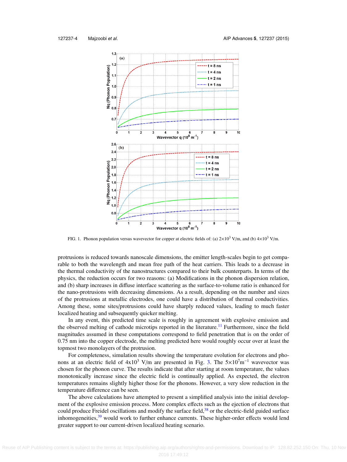<span id="page-4-0"></span>

FIG. 1. Phonon population versus wavevector for copper at electric fields of: (a)  $2\times10^3$  V/m, and (b)  $4\times10^3$  V/m.

protrusions is reduced towards nanoscale dimensions, the emitter length-scales begin to get comparable to both the wavelength and mean free path of the heat carriers. This leads to a decrease in the thermal conductivity of the nanostructures compared to their bulk counterparts. In terms of the physics, the reduction occurs for two reasons: (a) Modifications in the phonon dispersion relation, and (b) sharp increases in diffuse interface scattering as the surface-to-volume ratio is enhanced for the nano-protrusions with decreasing dimensions. As a result, depending on the number and sizes of the protrusions at metallic electrodes, one could have a distribution of thermal conductivities. Among these, some sites/protrusions could have sharply reduced values, leading to much faster localized heating and subsequently quicker melting.

In any event, this predicted time scale is roughly in agreement with explosive emission and the observed melting of cathode microtips reported in the literature.<sup>[11](#page-6-14)</sup> Furthermore, since the field magnitudes assumed in these computations correspond to field penetration that is on the order of 0.75 nm into the copper electrode, the melting predicted here would roughly occur over at least the topmost two monolayers of the protrusion.

For completeness, simulation results showing the temperature evolution for electrons and phonons at an electric field of  $4x10^3$  V/m are presented in Fig. [3.](#page-5-1) The  $5\times10^7$ m<sup>-1</sup> wavevector was chosen for the phonon curve. The results indicate that after starting at room temperature, the values monotonically increase since the electric field is continually applied. As expected, the electron temperatures remains slightly higher those for the phonons. However, a very slow reduction in the temperature difference can be seen.

The above calculations have attempted to present a simplified analysis into the initial development of the explosive emission process. More complex effects such as the ejection of electrons that could produce Freidel oscillations and modify the surface field, $38$  or the electric-field guided surface inhomogeneities,<sup>[39](#page-7-19)</sup> would work to further enhance currents. These higher-order effects would lend greater support to our current-driven localized heating scenario.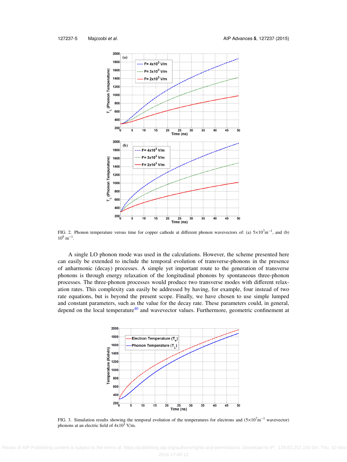<span id="page-5-0"></span>

FIG. 2. Phonon temperature versus time for copper cathode at different phonon wavevectors of: (a)  $5\times10^{7}$ m<sup>-1</sup>, and (b)  $10^9$  m<sup>-1</sup>.

A single LO phonon mode was used in the calculations. However, the scheme presented here can easily be extended to include the temporal evolution of transverse-phonons in the presence of anharmonic (decay) processes. A simple yet important route to the generation of transverse phonons is through energy relaxation of the longitudinal phonons by spontaneous three-phonon processes. The three-phonon processes would produce two transverse modes with different relaxation rates. This complexity can easily be addressed by having, for example, four instead of two rate equations, but is beyond the present scope. Finally, we have chosen to use simple lumped and constant parameters, such as the value for the decay rate. These parameters could, in general, depend on the local temperature $40$  and wavevector values. Furthermore, geometric confinement at

<span id="page-5-1"></span>

FIG. 3. Simulation results showing the temporal evolution of the temperatures for electrons and  $(5\times10<sup>7</sup>m<sup>-1</sup>$  wavevector) phonons at an electric field of  $4x10^3$  V/m.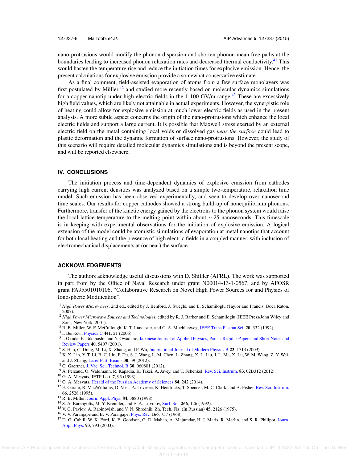nano-protrusions would modify the phonon dispersion and shorten phonon mean free paths at the boundaries leading to increased phonon relaxation rates and decreased thermal conductivity.<sup>[41](#page-7-21)</sup> This would hasten the temperature rise and reduce the initiation times for explosive emission. Hence, the present calculations for explosive emission provide a somewhat conservative estimate.

As a final comment, field-assisted evaporation of atoms from a few surface monolayers was first postulated by Müller, $42$  and studied more recently based on molecular dynamics simulations for a copper nanotip under high electric fields in the  $1-100 \text{ GV/m}$  range.<sup>[43](#page-7-23)</sup> These are excessively high field values, which are likely not attainable in actual experiments. However, the synergistic role of heating could allow for explosive emission at much lower electric fields as used in the present analysis. A more subtle aspect concerns the origin of the nano-protrusions which enhance the local electric fields and support a large current. It is possible that Maxwell stress exerted by an external electric field on the metal containing local voids or dissolved gas *near the surface* could lead to plastic deformation and the dynamic formation of surface nano-protrusions. However, the study of this scenario will require detailed molecular dynamics simulations and is beyond the present scope, and will be reported elsewhere.

### **IV. CONCLUSIONS**

The initiation process and time-dependent dynamics of explosive emission from cathodes carrying high current densities was analyzed based on a simple two-temperature, relaxation time model. Such emission has been observed experimentally, and seen to develop over nanosecond time scales. Our results for copper cathodes showed a strong build-up of nonequilibrium phonons. Furthermore, transfer of the kinetic energy gained by the electrons to the phonon system would raise the local lattice temperature to the melting point within about  $\sim$  25 nanoseconds. This timescale is in keeping with experimental observations for the initiation of explosive emission. A logical extension of the model could be atomistic simulations of evaporation at metal nanotips that account for both local heating and the presence of high electric fields in a coupled manner, with inclusion of electromechanical displacements at (or near) the surface.

### **ACKNOWLEDGEMENTS**

The authors acknowledge useful discussions with D. Shiffler (AFRL). The work was supported in part from by the Office of Naval Research under grant N00014-13-1-0567, and by AFOSR grant FA95501010106, "Collaborative Research on Novel High Power Sources for and Physics of Ionospheric Modification".

- <span id="page-6-1"></span><sup>3</sup> R. B. Miller, W. F. McCullough, K. T. Lancaster, and C. A. Muehlenweg, [IEEE Trans Plasma Sci.](http://dx.doi.org/10.1109/27.142834) 20, 332 (1992).
- <span id="page-6-2"></span><sup>4</sup> I. Ben-Zvi, *Physica* C 441, 21 (2006).
- <span id="page-6-3"></span>5 I. Okuda, E. Takahashi, and Y. Owadano, [Japanese Journal of Applied Physics, Part 1: Regular Papers and Short Notes and](http://dx.doi.org/10.1143/JJAP.40.5407) [Review Papers](http://dx.doi.org/10.1143/JJAP.40.5407) 40, 5407 (2001).
- <span id="page-6-4"></span><sup>6</sup> S. Hao, C. Dong, M. Li, X. Zhang, and P. Wu, [International Journal of Modern Physics B](http://dx.doi.org/10.1142/S0217979209061512) 23, 1713 (2009).
- <span id="page-6-5"></span><sup>7</sup> X. X. Lin, Y. T. Li, B. C. Liu, F. Du, S. J. Wang, L. M. Chen, L. Zhang, X. L. Liu, J. L. Ma, X. Lu, W. M. Wang, Z. Y. Wei, and J. Zhang, [Laser Part. Beams](http://dx.doi.org/10.1017/S0263034611000668) 30, 39 (2012).
- <span id="page-6-6"></span><sup>8</sup> G. Gaertner, [J. Vac. Sci. Technol. B](http://dx.doi.org/10.1116/1.4747705) 30, 060801 (2012).
- <span id="page-6-7"></span><sup>9</sup> A. Persaud, O. Waldmann, R. Kapadia, K. Takei, A. Javey, and T. Schenkel, [Rev. Sci. Instrum.](http://dx.doi.org/10.1063/1.3672437) 83, 02B312 (2012).
- <span id="page-6-8"></span><sup>10</sup> G. A. Mesyats, JETP Lett. 7, 95 (1993).
- <span id="page-6-14"></span><sup>11</sup> G. A. Mesyats, [Herald of the Russian Academy of Sciences](http://dx.doi.org/10.1134/S1019331614040017) **84**, 242 (2014).
- <sup>12</sup> E. Garate, R. MacWilliams, D. Voss, A. Lovesee, K. Hendricks, T. Spencer, M. C. Clark, and A. Fisher, [Rev. Sci. Instrum.](http://dx.doi.org/10.1063/1.1146504) 66, 2528 (1995).
- <span id="page-6-9"></span><sup>13</sup> R. B. Miller, [Journ. Appl. Phys.](http://dx.doi.org/10.1063/1.368567) 84, 3880 (1998).
- <span id="page-6-10"></span> $14$  S. A. Barengolts, M. Y. Kreindei, and E. A. Litvinov, [Surf. Sci.](http://dx.doi.org/10.1016/0039-6028(92)91008-Y) 266, 126 (1992).
- <span id="page-6-11"></span><sup>15</sup> V. G. Pavlov, A. Rabinovish, and V. N. Shrednik, Zh. Tech. Fiz. (In Russian) 45, 2126 (1975).
- <span id="page-6-12"></span><sup>16</sup> V. V. Paranjape and B. V. Paranjape, [Phys. Rev.](http://dx.doi.org/10.1103/PhysRev.166.757) 166, 757 (1968).
- <span id="page-6-13"></span><sup>17</sup> D. G. Cahill, W. K. Ford, K. E. Goodson, G. D. Mahan, A. Majumdar, H. J. Maris, R. Merlin, and S. R. Phillpot, [Journ.](http://dx.doi.org/10.1063/1.1524305) [Appl. Phys.](http://dx.doi.org/10.1063/1.1524305) 93, 793 (2003).

<span id="page-6-0"></span><sup>1</sup> *High Power Microwaves*, 2nd ed., edited by J. Benford, J. Swegle, and E. Schamiloglu (Taylor and Francis, Boca Raton, 2007).

<sup>2</sup> *High Power Microwave Sources and Technologies*, edited by R. J. Barker and E. Schamiloglu (IEEE Press/John Wiley and Sons, New York, 2001).